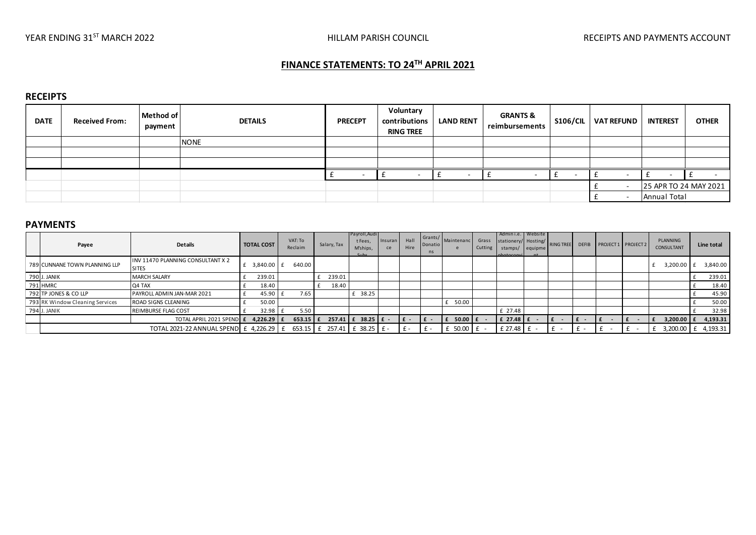# **FINANCE STATEMENTS: TO 24TH APRIL 2021**

### **RECEIPTS**

| <b>DATE</b> | <b>Received From:</b> | Method of<br>payment | <b>DETAILS</b> | <b>PRECEPT</b> | Voluntary<br>contributions<br><b>RING TREE</b> | <b>LAND RENT</b> | <b>GRANTS &amp;</b><br>reimbursements | <b>S106/CIL</b> | <b>VAT REFUND</b> | <b>INTEREST</b> | <b>OTHER</b>          |
|-------------|-----------------------|----------------------|----------------|----------------|------------------------------------------------|------------------|---------------------------------------|-----------------|-------------------|-----------------|-----------------------|
|             |                       |                      | <b>NONE</b>    |                |                                                |                  |                                       |                 |                   |                 |                       |
|             |                       |                      |                |                |                                                |                  |                                       |                 |                   |                 |                       |
|             |                       |                      |                |                |                                                |                  |                                       |                 |                   |                 |                       |
|             |                       |                      |                |                |                                                |                  |                                       |                 |                   | -               |                       |
|             |                       |                      |                |                |                                                |                  |                                       |                 |                   |                 | 25 APR TO 24 MAY 2021 |
|             |                       |                      |                |                |                                                |                  |                                       |                 |                   | Annual Total    |                       |

#### **PAYMENTS**

|                                 |                                                   |                   |                    |                                         |                                                     |               |              |                          |                  |                  |                                                                           |                       |              |                   |        | Annual Total           |                     |
|---------------------------------|---------------------------------------------------|-------------------|--------------------|-----------------------------------------|-----------------------------------------------------|---------------|--------------|--------------------------|------------------|------------------|---------------------------------------------------------------------------|-----------------------|--------------|-------------------|--------|------------------------|---------------------|
| <b>PAYMENTS</b>                 |                                                   |                   |                    |                                         |                                                     |               |              |                          |                  |                  |                                                                           |                       |              |                   |        |                        |                     |
| Payee                           | <b>Details</b>                                    | <b>TOTAL COST</b> | VAT: To<br>Reclaim | Salary, Tax                             | Payroll, Audi<br>t Fees,<br>M'ships,<br>$C_{11}$ he | Insuran<br>ce | Hall<br>Hire | Grants/<br>Donatio<br>ns | Maintenanc       | Grass<br>Cutting | Admini.e. Website<br>stationery/ Hosting/<br>stamps/ equipme<br>hotoconvi | RING TREE             | <b>DEFIB</b> | PROJECT1 PROJECT2 |        | PLANNING<br>CONSULTANT | Line total          |
| 789 CUNNANE TOWN PLANNING LLP   | INV 11470 PLANNING CONSULTANT X 2<br><b>SITES</b> | £ 3,840.00 £      | 640.00             |                                         |                                                     |               |              |                          |                  |                  |                                                                           |                       |              |                   |        | 3,200.00 £             | 3,840.00            |
| 790 J. JANIK                    | <b>MARCH SALARY</b>                               | 239.01            |                    | 239.01                                  |                                                     |               |              |                          |                  |                  |                                                                           |                       |              |                   |        |                        | 239.01              |
| 791 HMRC                        | Q4 TAX                                            | 18.40             |                    | 18.40                                   |                                                     |               |              |                          |                  |                  |                                                                           |                       |              |                   |        |                        | 18.40               |
| 792 TP JONES & CO LLP           | PAYROLL ADMIN JAN-MAR 2021                        | 45.90             | 7.65               |                                         | £ 38.25                                             |               |              |                          |                  |                  |                                                                           |                       |              |                   |        |                        | 45.90               |
| 793 RK Window Cleaning Services | ROAD SIGNS CLEANING                               | 50.00             |                    |                                         |                                                     |               |              |                          | £ 50.00          |                  |                                                                           |                       |              |                   |        |                        | 50.00               |
| 794 J. JANIK                    | REIMBURSE FLAG COST                               | 32.98             | 5.50               |                                         |                                                     |               |              |                          |                  |                  | £ 27.48                                                                   |                       |              |                   |        |                        | 32.98               |
|                                 | TOTAL APRIL 2021 SPEND E                          | $4,226.29$ $E$    | $653.15$ $E$       |                                         |                                                     |               | $f$ -        | $E -$                    | $50.00$ $E$<br>£ |                  | $E$ 27.48 $E$                                                             | I£-                   | $E -$        | Ι£<br>$\sim$      | $\sim$ | $3,200.00$ $E$<br>Ι£   | 4,193.31            |
|                                 | TOTAL 2021-22 ANNUAL SPEND E 4,226.29 E           |                   |                    | 653.15 $\pm$ 257.41 $\pm$ 38.25 $\pm$ - |                                                     |               | $f -$        | £ -                      | $£ 50.00 £ -$    |                  | $£ 27.48 \tE -$                                                           | $\ddot{f}$ $\ddot{f}$ | $+$ $-$      |                   |        |                        | 3,200.00 £ 4,193.31 |